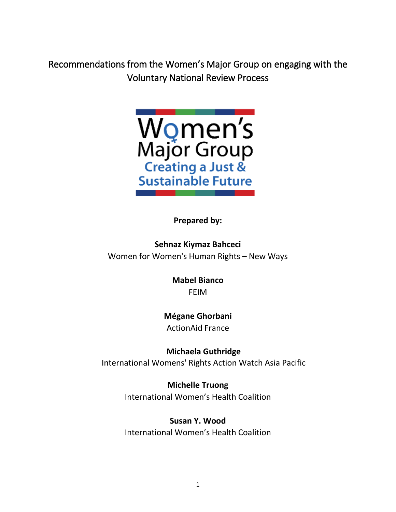Recommendations from the Women's Major Group on engaging with the Voluntary National Review Process



**Prepared by:**

**Sehnaz Kiymaz Bahceci** Women for Women's Human Rights – New Ways

> **Mabel Bianco** FEIM

**Mégane Ghorbani** ActionAid France

**Michaela Guthridge** International Womens' Rights Action Watch Asia Pacific

> **Michelle Truong** International Women's Health Coalition

> **Susan Y. Wood** International Women's Health Coalition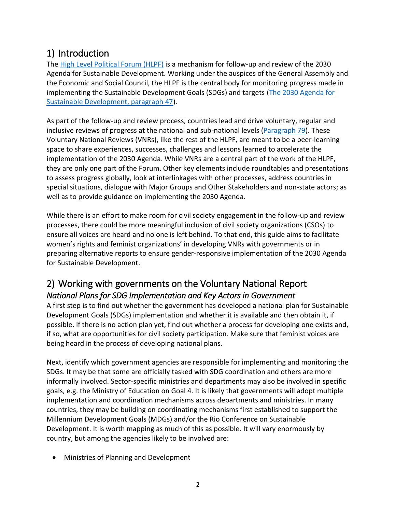# 1) Introduction

The [High Level Political Forum \(HLPF\)](https://sustainabledevelopment.un.org/hlpf) is a mechanism for follow-up and review of the 2030 Agenda for Sustainable Development. Working under the auspices of the General Assembly and the Economic and Social Council, the HLPF is the central body for monitoring progress made in implementing the Sustainable Development Goals (SDGs) and targets [\(The 2030 Agenda for](https://sustainabledevelopment.un.org/post2015/transformingourworld)  [Sustainable Development, paragraph 47\)](https://sustainabledevelopment.un.org/post2015/transformingourworld).

As part of the follow-up and review process, countries lead and drive voluntary, regular and inclusive reviews of progress at the national and sub-national levels [\(Paragraph 79\)](https://sustainabledevelopment.un.org/post2015/transformingourworld). These Voluntary National Reviews (VNRs), like the rest of the HLPF, are meant to be a peer-learning space to share experiences, successes, challenges and lessons learned to accelerate the implementation of the 2030 Agenda. While VNRs are a central part of the work of the HLPF, they are only one part of the Forum. Other key elements include roundtables and presentations to assess progress globally, look at interlinkages with other processes, address countries in special situations, dialogue with Major Groups and Other Stakeholders and non-state actors; as well as to provide guidance on implementing the 2030 Agenda.

While there is an effort to make room for civil society engagement in the follow-up and review processes, there could be more meaningful inclusion of civil society organizations (CSOs) to ensure all voices are heard and no one is left behind. To that end, this guide aims to facilitate women's rights and feminist organizations' in developing VNRs with governments or in preparing alternative reports to ensure gender-responsive implementation of the 2030 Agenda for Sustainable Development.

# 2) Working with governments on the Voluntary National Report *National Plans for SDG Implementation and Key Actors in Government*

A first step is to find out whether the government has developed a national plan for Sustainable Development Goals (SDGs) implementation and whether it is available and then obtain it, if possible. If there is no action plan yet, find out whether a process for developing one exists and, if so, what are opportunities for civil society participation. Make sure that feminist voices are being heard in the process of developing national plans.

Next, identify which government agencies are responsible for implementing and monitoring the SDGs. It may be that some are officially tasked with SDG coordination and others are more informally involved. Sector-specific ministries and departments may also be involved in specific goals, e.g. the Ministry of Education on Goal 4. It is likely that governments will adopt multiple implementation and coordination mechanisms across departments and ministries. In many countries, they may be building on coordinating mechanisms first established to support the Millennium Development Goals (MDGs) and/or the Rio Conference on Sustainable Development. It is worth mapping as much of this as possible. It will vary enormously by country, but among the agencies likely to be involved are:

Ministries of Planning and Development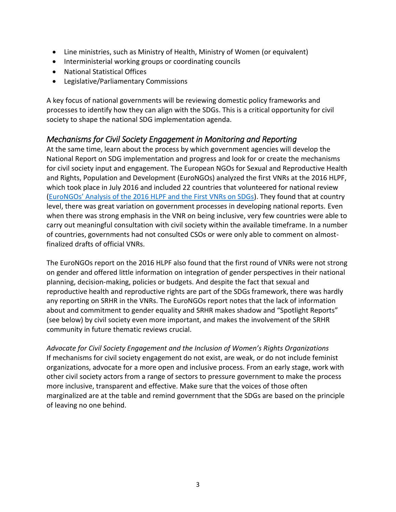- Line ministries, such as Ministry of Health, Ministry of Women (or equivalent)
- Interministerial working groups or coordinating councils
- National Statistical Offices
- Legislative/Parliamentary Commissions

A key focus of national governments will be reviewing domestic policy frameworks and processes to identify how they can align with the SDGs. This is a critical opportunity for civil society to shape the national SDG implementation agenda.

### *Mechanisms for Civil Society Engagement in Monitoring and Reporting*

At the same time, learn about the process by which government agencies will develop the National Report on SDG implementation and progress and look for or create the mechanisms for civil society input and engagement. The European NGOs for Sexual and Reproductive Health and Rights, Population and Development (EuroNGOs) analyzed the first VNRs at the 2016 HLPF, which took place in July 2016 and included 22 countries that volunteered for national review ([EuroNGOs' Analysis of the 2016 HLPF and the First VNRs on SDGs](http://www.eurongos.org/fileadmin/files/We_Do/Policy_and_advocacy/Analysis_HLPF_2016_and_first_Voluntary_National_Reports_-final.pdf)). They found that at country level, there was great variation on government processes in developing national reports. Even when there was strong emphasis in the VNR on being inclusive, very few countries were able to carry out meaningful consultation with civil society within the available timeframe. In a number of countries, governments had not consulted CSOs or were only able to comment on almostfinalized drafts of official VNRs.

The EuroNGOs report on the 2016 HLPF also found that the first round of VNRs were not strong on gender and offered little information on integration of gender perspectives in their national planning, decision-making, policies or budgets. And despite the fact that sexual and reproductive health and reproductive rights are part of the SDGs framework, there was hardly any reporting on SRHR in the VNRs. The EuroNGOs report notes that the lack of information about and commitment to gender equality and SRHR makes shadow and "Spotlight Reports" (see below) by civil society even more important, and makes the involvement of the SRHR community in future thematic reviews crucial.

*Advocate for Civil Society Engagement and the Inclusion of Women's Rights Organizations* If mechanisms for civil society engagement do not exist, are weak, or do not include feminist organizations, advocate for a more open and inclusive process. From an early stage, work with other civil society actors from a range of sectors to pressure government to make the process more inclusive, transparent and effective. Make sure that the voices of those often marginalized are at the table and remind government that the SDGs are based on the principle of leaving no one behind.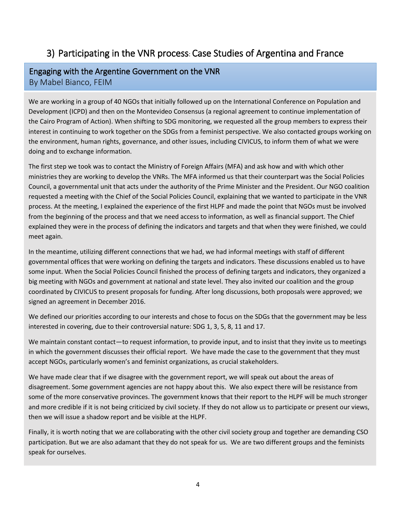# 3) Participating in the VNR process: Case Studies of Argentina and France

#### Engaging with the Argentine Government on the VNR By Mabel Bianco, FEIM

We are working in a group of 40 NGOs that initially followed up on the International Conference on Population and Development (ICPD) and then on the Montevideo Consensus (a regional agreement to continue implementation of the Cairo Program of Action). When shifting to SDG monitoring, we requested all the group members to express their interest in continuing to work together on the SDGs from a feminist perspective. We also contacted groups working on the environment, human rights, governance, and other issues, including CIVICUS, to inform them of what we were doing and to exchange information.

The first step we took was to contact the Ministry of Foreign Affairs (MFA) and ask how and with which other ministries they are working to develop the VNRs. The MFA informed us that their counterpart was the Social Policies Council, a governmental unit that acts under the authority of the Prime Minister and the President. Our NGO coalition requested a meeting with the Chief of the Social Policies Council, explaining that we wanted to participate in the VNR process. At the meeting, I explained the experience of the first HLPF and made the point that NGOs must be involved from the beginning of the process and that we need access to information, as well as financial support. The Chief explained they were in the process of defining the indicators and targets and that when they were finished, we could meet again.

In the meantime, utilizing different connections that we had, we had informal meetings with staff of different governmental offices that were working on defining the targets and indicators. These discussions enabled us to have some input. When the Social Policies Council finished the process of defining targets and indicators, they organized a big meeting with NGOs and government at national and state level. They also invited our coalition and the group coordinated by CIVICUS to present proposals for funding. After long discussions, both proposals were approved; we signed an agreement in December 2016.

We defined our priorities according to our interests and chose to focus on the SDGs that the government may be less interested in covering, due to their controversial nature: SDG 1, 3, 5, 8, 11 and 17.

We maintain constant contact—to request information, to provide input, and to insist that they invite us to meetings in which the government discusses their official report. We have made the case to the government that they must accept NGOs, particularly women's and feminist organizations, as crucial stakeholders.

We have made clear that if we disagree with the government report, we will speak out about the areas of disagreement. Some government agencies are not happy about this. We also expect there will be resistance from some of the more conservative provinces. The government knows that their report to the HLPF will be much stronger and more credible if it is not being criticized by civil society. If they do not allow us to participate or present our views, then we will issue a shadow report and be visible at the HLPF.

Finally, it is worth noting that we are collaborating with the other civil society group and together are demanding CSO participation. But we are also adamant that they do not speak for us. We are two different groups and the feminists speak for ourselves.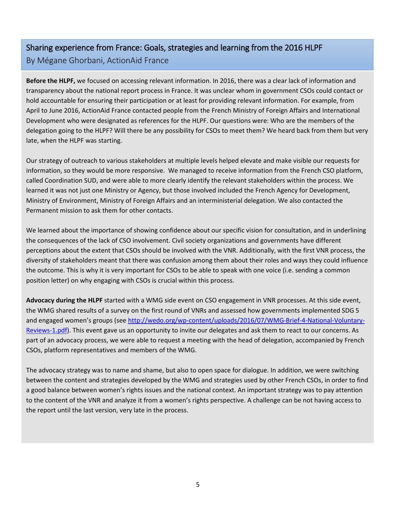# Sharing experience from France: Goals, strategies and learning from the 2016 HLPF By Mégane Ghorbani, ActionAid France

**Before the HLPF,** we focused on accessing relevant information. In 2016, there was a clear lack of information and transparency about the national report process in France. It was unclear whom in government CSOs could contact or hold accountable for ensuring their participation or at least for providing relevant information. For example, from April to June 2016, ActionAid France contacted people from the French Ministry of Foreign Affairs and International Development who were designated as references for the HLPF. Our questions were: Who are the members of the delegation going to the HLPF? Will there be any possibility for CSOs to meet them? We heard back from them but very late, when the HLPF was starting.

Our strategy of outreach to various stakeholders at multiple levels helped elevate and make visible our requests for information, so they would be more responsive. We managed to receive information from the French CSO platform, called Coordination SUD, and were able to more clearly identify the relevant stakeholders within the process. We learned it was not just one Ministry or Agency, but those involved included the French Agency for Development, Ministry of Environment, Ministry of Foreign Affairs and an interministerial delegation. We also contacted the Permanent mission to ask them for other contacts.

We learned about the importance of showing confidence about our specific vision for consultation, and in underlining the consequences of the lack of CSO involvement. Civil society organizations and governments have different perceptions about the extent that CSOs should be involved with the VNR. Additionally, with the first VNR process, the diversity of stakeholders meant that there was confusion among them about their roles and ways they could influence the outcome. This is why it is very important for CSOs to be able to speak with one voice (i.e. sending a common position letter) on why engaging with CSOs is crucial within this process.

**Advocacy during the HLPF** started with a WMG side event on CSO engagement in VNR processes. At this side event, the WMG shared results of a survey on the first round of VNRs and assessed how governments implemented SDG 5 and engaged women's groups (see [http://wedo.org/wp-content/uploads/2016/07/WMG-Brief-4-National-Voluntary-](http://wedo.org/wp-content/uploads/2016/07/WMG-Brief-4-National-Voluntary-Reviews-1.pdf)[Reviews-1.pdf\)](http://wedo.org/wp-content/uploads/2016/07/WMG-Brief-4-National-Voluntary-Reviews-1.pdf). This event gave us an opportunity to invite our delegates and ask them to react to our concerns. As part of an advocacy process, we were able to request a meeting with the head of delegation, accompanied by French CSOs, platform representatives and members of the WMG.

The advocacy strategy was to name and shame, but also to open space for dialogue. In addition, we were switching between the content and strategies developed by the WMG and strategies used by other French CSOs, in order to find a good balance between women's rights issues and the national context. An important strategy was to pay attention to the content of the VNR and analyze it from a women's rights perspective. A challenge can be not having access to the report until the last version, very late in the process.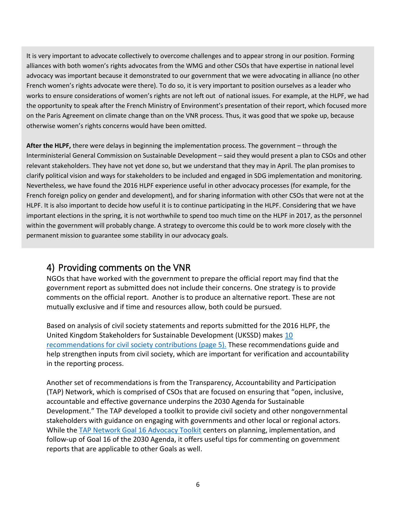It is very important to advocate collectively to overcome challenges and to appear strong in our position. Forming alliances with both women's rights advocates from the WMG and other CSOs that have expertise in national level advocacy was important because it demonstrated to our government that we were advocating in alliance (no other French women's rights advocate were there). To do so, it is very important to position ourselves as a leader who works to ensure considerations of women's rights are not left out of national issues. For example, at the HLPF, we had the opportunity to speak after the French Ministry of Environment's presentation of their report, which focused more on the Paris Agreement on climate change than on the VNR process. Thus, it was good that we spoke up, because otherwise women's rights concerns would have been omitted.

**After the HLPF,** there were delays in beginning the implementation process. The government – through the Interministerial General Commission on Sustainable Development – said they would present a plan to CSOs and other relevant stakeholders. They have not yet done so, but we understand that they may in April. The plan promises to clarify political vision and ways for stakeholders to be included and engaged in SDG implementation and monitoring. Nevertheless, we have found the 2016 HLPF experience useful in other advocacy processes (for example, for the French foreign policy on gender and development), and for sharing information with other CSOs that were not at the HLPF. It is also important to decide how useful it is to continue participating in the HLPF. Considering that we have important elections in the spring, it is not worthwhile to spend too much time on the HLPF in 2017, as the personnel within the government will probably change. A strategy to overcome this could be to work more closely with the permanent mission to guarantee some stability in our advocacy goals.

## 4) Providing comments on the VNR

NGOs that have worked with the government to prepare the official report may find that the government report as submitted does not include their concerns. One strategy is to provide comments on the official report. Another is to produce an alternative report. These are not mutually exclusive and if time and resources allow, both could be pursued.

Based on analysis of civil society statements and reports submitted for the 2016 HLPF, the United Kingdom Stakeholders for Sustainable Development (UKSSD) makes [10](https://www.bond.org.uk/sites/default/files/analysis_of_hlpf_2016_summary.pdf)  [recommendations for civil society contributions](https://www.bond.org.uk/sites/default/files/analysis_of_hlpf_2016_summary.pdf) (page 5). These recommendations guide and help strengthen inputs from civil society, which are important for verification and accountability in the reporting process.

Another set of recommendations is from the Transparency, Accountability and Participation (TAP) Network, which is comprised of CSOs that are focused on ensuring that "open, inclusive, accountable and effective governance underpins the 2030 Agenda for Sustainable Development." The TAP developed a toolkit to provide civil society and other nongovernmental stakeholders with guidance on engaging with governments and other local or regional actors. While the [TAP Network Goal 16 Advocacy Toolkit](http://tapnetwork2030.org/goal-16-advocacy-toolkit/) centers on planning, implementation, and follow-up of Goal 16 of the 2030 Agenda, it offers useful tips for commenting on government reports that are applicable to other Goals as well.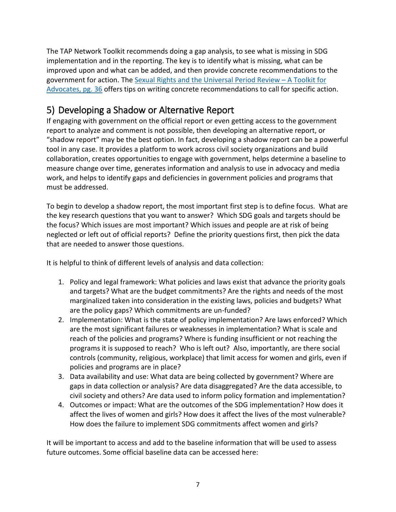The TAP Network Toolkit recommends doing a gap analysis, to see what is missing in SDG implementation and in the reporting. The key is to identify what is missing, what can be improved upon and what can be added, and then provide concrete recommendations to the government for action. The [Sexual Rights and the Universal Period Review](http://www.sexualrightsinitiative.com/universal-periodic-review/upr-toolkit/) – A Toolkit for [Advocates, pg. 36](http://www.sexualrightsinitiative.com/universal-periodic-review/upr-toolkit/) offers tips on writing concrete recommendations to call for specific action.

# 5) Developing a Shadow or Alternative Report

If engaging with government on the official report or even getting access to the government report to analyze and comment is not possible, then developing an alternative report, or "shadow report" may be the best option. In fact, developing a shadow report can be a powerful tool in any case. It provides a platform to work across civil society organizations and build collaboration, creates opportunities to engage with government, helps determine a baseline to measure change over time, generates information and analysis to use in advocacy and media work, and helps to identify gaps and deficiencies in government policies and programs that must be addressed.

To begin to develop a shadow report, the most important first step is to define focus. What are the key research questions that you want to answer? Which SDG goals and targets should be the focus? Which issues are most important? Which issues and people are at risk of being neglected or left out of official reports? Define the priority questions first, then pick the data that are needed to answer those questions.

It is helpful to think of different levels of analysis and data collection:

- 1. Policy and legal framework: What policies and laws exist that advance the priority goals and targets? What are the budget commitments? Are the rights and needs of the most marginalized taken into consideration in the existing laws, policies and budgets? What are the policy gaps? Which commitments are un-funded?
- 2. Implementation: What is the state of policy implementation? Are laws enforced? Which are the most significant failures or weaknesses in implementation? What is scale and reach of the policies and programs? Where is funding insufficient or not reaching the programs it is supposed to reach? Who is left out? Also, importantly, are there social controls (community, religious, workplace) that limit access for women and girls, even if policies and programs are in place?
- 3. Data availability and use: What data are being collected by government? Where are gaps in data collection or analysis? Are data disaggregated? Are the data accessible, to civil society and others? Are data used to inform policy formation and implementation?
- 4. Outcomes or impact: What are the outcomes of the SDG implementation? How does it affect the lives of women and girls? How does it affect the lives of the most vulnerable? How does the failure to implement SDG commitments affect women and girls?

It will be important to access and add to the baseline information that will be used to assess future outcomes. Some official baseline data can be accessed here: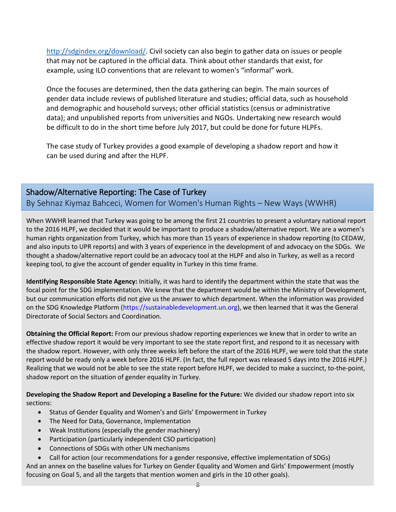[http://sdgindex.org/download/.](http://sdgindex.org/download/) Civil society can also begin to gather data on issues or people that may not be captured in the official data. Think about other standards that exist, for example, using ILO conventions that are relevant to women's "informal" work.

Once the focuses are determined, then the data gathering can begin. The main sources of gender data include reviews of published literature and studies; official data, such as household and demographic and household surveys; other official statistics (census or administrative data); and unpublished reports from universities and NGOs. Undertaking new research would be difficult to do in the short time before July 2017, but could be done for future HLPFs.

The case study of Turkey provides a good example of developing a shadow report and how it can be used during and after the HLPF.

### Shadow/Alternative Reporting: The Case of Turkey

By Sehnaz Kiymaz Bahceci, Women for Women's Human Rights – New Ways (WWHR)

When WWHR learned that Turkey was going to be among the first 21 countries to present a voluntary national report to the 2016 HLPF, we decided that it would be important to produce a shadow/alternative report. We are a women's human rights organization from Turkey, which has more than 15 years of experience in shadow reporting (to CEDAW, and also inputs to UPR reports) and with 3 years of experience in the development of and advocacy on the SDGs. We thought a shadow/alternative report could be an advocacy tool at the HLPF and also in Turkey, as well as a record keeping tool, to give the account of gender equality in Turkey in this time frame.

**Identifying Responsible State Agency:** Initially, it was hard to identify the department within the state that was the focal point for the SDG implementation. We knew that the department would be within the Ministry of Development, but our communication efforts did not give us the answer to which department. When the information was provided on the SDG Knowledge Platform [\(https://sustainabledevelopment.un.org\)](https://sustainabledevelopment.un.org/), we then learned that it was the General Directorate of Social Sectors and Coordination.

**Obtaining the Official Report:** From our previous shadow reporting experiences we knew that in order to write an effective shadow report it would be very important to see the state report first, and respond to it as necessary with the shadow report. However, with only three weeks left before the start of the 2016 HLPF, we were told that the state report would be ready only a week before 2016 HLPF. (In fact, the full report was released 5 days into the 2016 HLPF.) Realizing that we would not be able to see the state report before HLPF, we decided to make a succinct, to-the-point, shadow report on the situation of gender equality in Turkey.

**Developing the Shadow Report and Developing a Baseline for the Future:** We divided our shadow report into six sections:

- Status of Gender Equality and Women's and Girls' Empowerment in Turkey
- The Need for Data, Governance, Implementation
- Weak Institutions (especially the gender machinery)
- Participation (particularly independent CSO participation)
- Connections of SDGs with other UN mechanisms

 Call for action (our recommendations for a gender responsive, effective implementation of SDGs) And an annex on the baseline values for Turkey on Gender Equality and Women and Girls' Empowerment (mostly focusing on Goal 5, and all the targets that mention women and girls in the 10 other goals).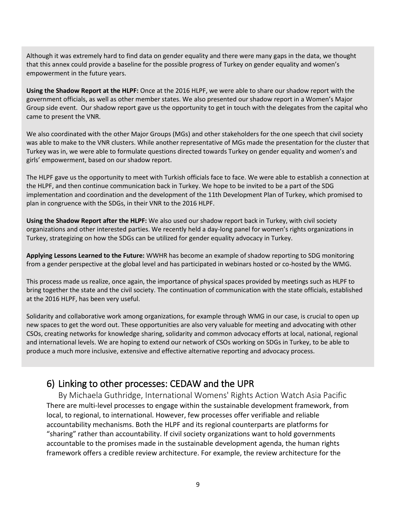Although it was extremely hard to find data on gender equality and there were many gaps in the data, we thought that this annex could provide a baseline for the possible progress of Turkey on gender equality and women's empowerment in the future years.

**Using the Shadow Report at the HLPF:** Once at the 2016 HLPF, we were able to share our shadow report with the government officials, as well as other member states. We also presented our shadow report in a Women's Major Group side event. Our shadow report gave us the opportunity to get in touch with the delegates from the capital who came to present the VNR.

We also coordinated with the other Major Groups (MGs) and other stakeholders for the one speech that civil society was able to make to the VNR clusters. While another representative of MGs made the presentation for the cluster that Turkey was in, we were able to formulate questions directed towards Turkey on gender equality and women's and girls' empowerment, based on our shadow report.

The HLPF gave us the opportunity to meet with Turkish officials face to face. We were able to establish a connection at the HLPF, and then continue communication back in Turkey. We hope to be invited to be a part of the SDG implementation and coordination and the development of the 11th Development Plan of Turkey, which promised to plan in congruence with the SDGs, in their VNR to the 2016 HLPF.

**Using the Shadow Report after the HLPF:** We also used our shadow report back in Turkey, with civil society organizations and other interested parties. We recently held a day-long panel for women's rights organizations in Turkey, strategizing on how the SDGs can be utilized for gender equality advocacy in Turkey.

**Applying Lessons Learned to the Future:** WWHR has become an example of shadow reporting to SDG monitoring from a gender perspective at the global level and has participated in webinars hosted or co-hosted by the WMG.

This process made us realize, once again, the importance of physical spaces provided by meetings such as HLPF to bring together the state and the civil society. The continuation of communication with the state officials, established at the 2016 HLPF, has been very useful.

Solidarity and collaborative work among organizations, for example through WMG in our case, is crucial to open up new spaces to get the word out. These opportunities are also very valuable for meeting and advocating with other CSOs, creating networks for knowledge sharing, solidarity and common advocacy efforts at local, national, regional and international levels. We are hoping to extend our network of CSOs working on SDGs in Turkey, to be able to produce a much more inclusive, extensive and effective alternative reporting and advocacy process.

## 6) Linking to other processes: CEDAW and the UPR

By Michaela Guthridge, International Womens' Rights Action Watch Asia Pacific There are multi-level processes to engage within the sustainable development framework, from local, to regional, to international. However, few processes offer verifiable and reliable accountability mechanisms. Both the HLPF and its regional counterparts are platforms for "sharing" rather than accountability. If civil society organizations want to hold governments accountable to the promises made in the sustainable development agenda, the human rights framework offers a credible review architecture. For example, the review architecture for the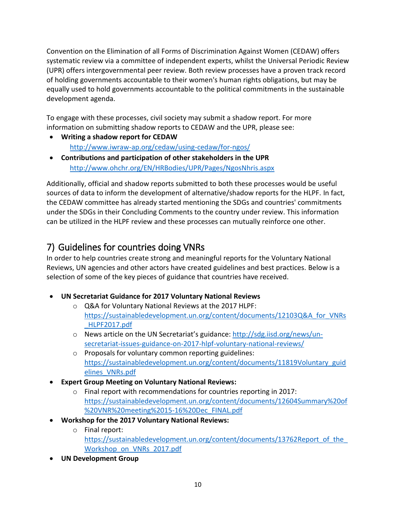Convention on the Elimination of all Forms of Discrimination Against Women (CEDAW) offers systematic review via a committee of independent experts, whilst the Universal Periodic Review (UPR) offers intergovernmental peer review. Both review processes have a proven track record of holding governments accountable to their women's human rights obligations, but may be equally used to hold governments accountable to the political commitments in the sustainable development agenda.

To engage with these processes, civil society may submit a shadow report. For more information on submitting shadow reports to CEDAW and the UPR, please see:

- **Writing a shadow report for CEDAW**  <http://www.iwraw-ap.org/cedaw/using-cedaw/for-ngos/>
- **Contributions and participation of other stakeholders in the UPR** <http://www.ohchr.org/EN/HRBodies/UPR/Pages/NgosNhris.aspx>

Additionally, official and shadow reports submitted to both these processes would be useful sources of data to inform the development of alternative/shadow reports for the HLPF. In fact, the CEDAW committee has already started mentioning the SDGs and countries' commitments under the SDGs in their Concluding Comments to the country under review. This information can be utilized in the HLPF review and these processes can mutually reinforce one other.

# 7) Guidelines for countries doing VNRs

In order to help countries create strong and meaningful reports for the Voluntary National Reviews, UN agencies and other actors have created guidelines and best practices. Below is a selection of some of the key pieces of guidance that countries have received.

- **UN Secretariat Guidance for 2017 Voluntary National Reviews**
	- o Q&A for Voluntary National Reviews at the 2017 HLPF: [https://sustainabledevelopment.un.org/content/documents/12103Q&A\\_for\\_VNRs](https://sustainabledevelopment.un.org/content/documents/12103Q&A_for_VNRs_HLPF2017.pdf) [\\_HLPF2017.pdf](https://sustainabledevelopment.un.org/content/documents/12103Q&A_for_VNRs_HLPF2017.pdf)
	- o News article on the UN Secretariat's guidance[: http://sdg.iisd.org/news/un](http://sdg.iisd.org/news/un-secretariat-issues-guidance-on-2017-hlpf-voluntary-national-reviews/)[secretariat-issues-guidance-on-2017-hlpf-voluntary-national-reviews/](http://sdg.iisd.org/news/un-secretariat-issues-guidance-on-2017-hlpf-voluntary-national-reviews/)
	- o Proposals for voluntary common reporting guidelines: [https://sustainabledevelopment.un.org/content/documents/11819Voluntary\\_guid](https://sustainabledevelopment.un.org/content/documents/11819Voluntary_guidelines_VNRs.pdf) [elines\\_VNRs.pdf](https://sustainabledevelopment.un.org/content/documents/11819Voluntary_guidelines_VNRs.pdf)
- **Expert Group Meeting on Voluntary National Reviews:**
	- o Final report with recommendations for countries reporting in 2017: [https://sustainabledevelopment.un.org/content/documents/12604Summary%20of](https://sustainabledevelopment.un.org/content/documents/12604Summary%20of%20VNR%20meeting%2015-16%20Dec_FINAL.pdf) [%20VNR%20meeting%2015-16%20Dec\\_FINAL.pdf](https://sustainabledevelopment.un.org/content/documents/12604Summary%20of%20VNR%20meeting%2015-16%20Dec_FINAL.pdf)
- **Workshop for the 2017 Voluntary National Reviews:** 
	- o Final report: https://sustainabledevelopment.un.org/content/documents/13762Report\_of\_the [Workshop\\_on\\_VNRs\\_2017.pdf](https://sustainabledevelopment.un.org/content/documents/13762Report_of_the_Workshop_on_VNRs_2017.pdf)
- **UN Development Group**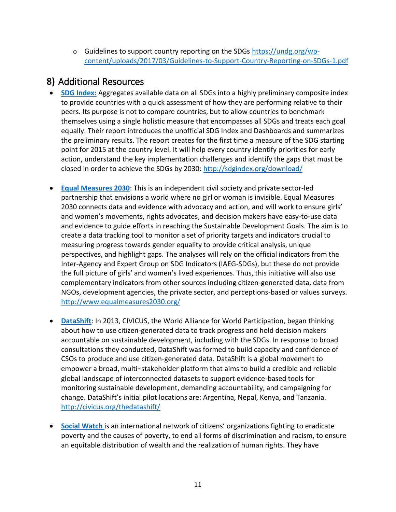o Guidelines to support country reporting on the SDGs [https://undg.org/wp](https://undg.org/wp-content/uploads/2017/03/Guidelines-to-Support-Country-Reporting-on-SDGs-1.pdf)[content/uploads/2017/03/Guidelines-to-Support-Country-Reporting-on-SDGs-1.pdf](https://undg.org/wp-content/uploads/2017/03/Guidelines-to-Support-Country-Reporting-on-SDGs-1.pdf)

## **8)** Additional Resources

- **[SDG Index:](http://sdgindex.org/download/)** Aggregates available data on all SDGs into a highly preliminary composite index to provide countries with a quick assessment of how they are performing relative to their peers. Its purpose is not to compare countries, but to allow countries to benchmark themselves using a single holistic measure that encompasses all SDGs and treats each goal equally. Their report introduces the unofficial SDG Index and Dashboards and summarizes the preliminary results. The report creates for the first time a measure of the SDG starting point for 2015 at the country level. It will help every country identify priorities for early action, understand the key implementation challenges and identify the gaps that must be closed in order to achieve the SDGs by 2030:<http://sdgindex.org/download/>
- **[Equal Measures 2030](http://www.equalmeasures2030.org/)**: This is an independent civil society and private sector-led partnership that envisions a world where no girl or woman is invisible. Equal Measures 2030 connects data and evidence with advocacy and action, and will work to ensure girls' and women's movements, rights advocates, and decision makers have easy-to-use data and evidence to guide efforts in reaching the Sustainable Development Goals. The aim is to create a data tracking tool to monitor a set of priority targets and indicators crucial to measuring progress towards gender equality to provide critical analysis, unique perspectives, and highlight gaps. The analyses will rely on the official indicators from the Inter-Agency and Expert Group on SDG Indicators (IAEG-SDGs), but these do not provide the full picture of girls' and women's lived experiences. Thus, this initiative will also use complementary indicators from other sources including citizen-generated data, data from NGOs, development agencies, the private sector, and perceptions-based or values surveys. <http://www.equalmeasures2030.org/>
- **[DataShift](http://civicus.org/thedatashift/)**: In 2013, CIVICUS, the World Alliance for World Participation, began thinking about how to use citizen-generated data to track progress and hold decision makers accountable on sustainable development, including with the SDGs. In response to broad consultations they conducted, DataShift was formed to build capacity and confidence of CSOs to produce and use citizen-generated data. DataShift is a global movement to empower a broad, multi‑stakeholder platform that aims to build a credible and reliable global landscape of interconnected datasets to support evidence-based tools for monitoring sustainable development, demanding accountability, and campaigning for change. DataShift's initial pilot locations are: Argentina, Nepal, Kenya, and Tanzania. <http://civicus.org/thedatashift/>
- **[Social Watch](http://www.socialwatch.org/node/17211)** is an international network of citizens' organizations fighting to eradicate poverty and the causes of poverty, to end all forms of discrimination and racism, to ensure an equitable distribution of wealth and the realization of human rights. They have